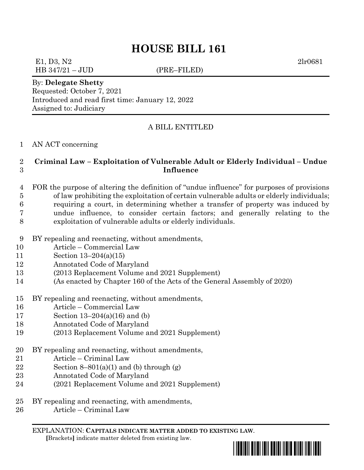# **HOUSE BILL 161**

# E1, D3, N2 2lr0681

HB 347/21 – JUD (PRE–FILED)

By: **Delegate Shetty**

Requested: October 7, 2021 Introduced and read first time: January 12, 2022 Assigned to: Judiciary

### A BILL ENTITLED

#### AN ACT concerning

### **Criminal Law – Exploitation of Vulnerable Adult or Elderly Individual – Undue Influence**

#### FOR the purpose of altering the definition of "undue influence" for purposes of provisions of law prohibiting the exploitation of certain vulnerable adults or elderly individuals; requiring a court, in determining whether a transfer of property was induced by undue influence, to consider certain factors; and generally relating to the exploitation of vulnerable adults or elderly individuals.

- BY repealing and reenacting, without amendments,
- Article Commercial Law
- Section 13–204(a)(15)
- Annotated Code of Maryland
- (2013 Replacement Volume and 2021 Supplement)
- (As enacted by Chapter 160 of the Acts of the General Assembly of 2020)
- BY repealing and reenacting, without amendments,
- Article Commercial Law
- Section 13–204(a)(16) and (b)
- Annotated Code of Maryland
- (2013 Replacement Volume and 2021 Supplement)
- BY repealing and reenacting, without amendments,
- Article Criminal Law
- 22 Section  $8-801(a)(1)$  and (b) through  $(g)$
- Annotated Code of Maryland
- (2021 Replacement Volume and 2021 Supplement)
- BY repealing and reenacting, with amendments,
- Article Criminal Law

EXPLANATION: **CAPITALS INDICATE MATTER ADDED TO EXISTING LAW**.  **[**Brackets**]** indicate matter deleted from existing law.

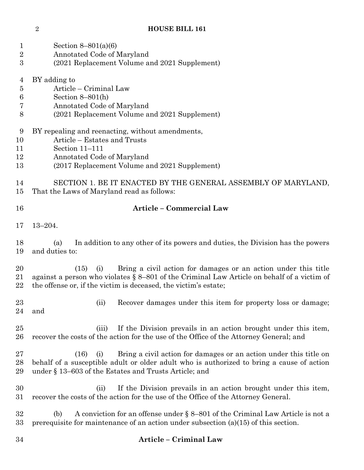## **HOUSE BILL 161**

| $\mathbf 1$<br>$\overline{2}$<br>3 | Section $8-801(a)(6)$<br>Annotated Code of Maryland<br>(2021 Replacement Volume and 2021 Supplement)                                                                                                                                           |  |  |  |
|------------------------------------|------------------------------------------------------------------------------------------------------------------------------------------------------------------------------------------------------------------------------------------------|--|--|--|
| 4<br>$\bf 5$<br>$\,6$<br>7<br>8    | BY adding to<br>Article – Criminal Law<br>Section $8-801(h)$<br>Annotated Code of Maryland<br>(2021 Replacement Volume and 2021 Supplement)                                                                                                    |  |  |  |
| 9<br>10<br>11<br>12<br>13          | BY repealing and reenacting, without amendments,<br>Article – Estates and Trusts<br>Section 11-111<br>Annotated Code of Maryland<br>(2017 Replacement Volume and 2021 Supplement)                                                              |  |  |  |
| 14<br>15                           | SECTION 1. BE IT ENACTED BY THE GENERAL ASSEMBLY OF MARYLAND,<br>That the Laws of Maryland read as follows:                                                                                                                                    |  |  |  |
| 16                                 | <b>Article - Commercial Law</b>                                                                                                                                                                                                                |  |  |  |
| 17                                 | $13 - 204.$                                                                                                                                                                                                                                    |  |  |  |
| 18<br>19                           | In addition to any other of its powers and duties, the Division has the powers<br>(a)<br>and duties to:                                                                                                                                        |  |  |  |
| 20<br>21<br>22                     | Bring a civil action for damages or an action under this title<br>(15)<br>(i)<br>against a person who violates § 8-801 of the Criminal Law Article on behalf of a victim of<br>the offense or, if the victim is deceased, the victim's estate; |  |  |  |
| 23<br>24                           | Recover damages under this item for property loss or damage;<br>(ii)<br>and                                                                                                                                                                    |  |  |  |
| 25<br>26                           | If the Division prevails in an action brought under this item,<br>(iii)<br>recover the costs of the action for the use of the Office of the Attorney General; and                                                                              |  |  |  |
| 27<br>28<br>29                     | Bring a civil action for damages or an action under this title on<br>(16)<br>(i)<br>behalf of a susceptible adult or older adult who is authorized to bring a cause of action<br>under $\S$ 13–603 of the Estates and Trusts Article; and      |  |  |  |
| 30<br>31                           | If the Division prevails in an action brought under this item,<br>(i)<br>recover the costs of the action for the use of the Office of the Attorney General.                                                                                    |  |  |  |
| 32<br>33                           | A conviction for an offense under $\S$ 8-801 of the Criminal Law Article is not a<br>(b)<br>prerequisite for maintenance of an action under subsection $(a)(15)$ of this section.                                                              |  |  |  |

## **Article – Criminal Law**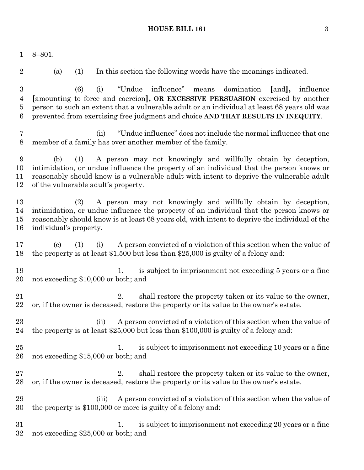#### **HOUSE BILL 161** 3

 8–801. (a) (1) In this section the following words have the meanings indicated. (6) (i) "Undue influence" means domination **[**and**],** influence **[**amounting to force and coercion**], OR EXCESSIVE PERSUASION** exercised by another person to such an extent that a vulnerable adult or an individual at least 68 years old was prevented from exercising free judgment and choice **AND THAT RESULTS IN INEQUITY**. (ii) "Undue influence" does not include the normal influence that one member of a family has over another member of the family. (b) (1) A person may not knowingly and willfully obtain by deception, intimidation, or undue influence the property of an individual that the person knows or reasonably should know is a vulnerable adult with intent to deprive the vulnerable adult of the vulnerable adult's property. (2) A person may not knowingly and willfully obtain by deception, intimidation, or undue influence the property of an individual that the person knows or reasonably should know is at least 68 years old, with intent to deprive the individual of the individual's property. (c) (1) (i) A person convicted of a violation of this section when the value of the property is at least \$1,500 but less than \$25,000 is guilty of a felony and: 19 1. is subject to imprisonment not exceeding 5 years or a fine not exceeding \$10,000 or both; and 21 2. shall restore the property taken or its value to the owner, or, if the owner is deceased, restore the property or its value to the owner's estate. 23 (ii) A person convicted of a violation of this section when the value of the property is at least \$25,000 but less than \$100,000 is guilty of a felony and: 25 1. is subject to imprisonment not exceeding 10 years or a fine not exceeding \$15,000 or both; and 27 2. shall restore the property taken or its value to the owner, or, if the owner is deceased, restore the property or its value to the owner's estate. (iii) A person convicted of a violation of this section when the value of the property is \$100,000 or more is guilty of a felony and: 31 31 1. is subject to imprisonment not exceeding 20 years or a fine not exceeding \$25,000 or both; and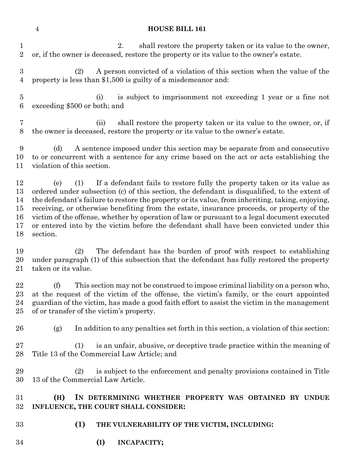#### **HOUSE BILL 161**

 2. shall restore the property taken or its value to the owner, or, if the owner is deceased, restore the property or its value to the owner's estate. (2) A person convicted of a violation of this section when the value of the property is less than \$1,500 is guilty of a misdemeanor and: (i) is subject to imprisonment not exceeding 1 year or a fine not exceeding \$500 or both; and (ii) shall restore the property taken or its value to the owner, or, if the owner is deceased, restore the property or its value to the owner's estate. (d) A sentence imposed under this section may be separate from and consecutive to or concurrent with a sentence for any crime based on the act or acts establishing the violation of this section. (e) (1) If a defendant fails to restore fully the property taken or its value as ordered under subsection (c) of this section, the defendant is disqualified, to the extent of the defendant's failure to restore the property or its value, from inheriting, taking, enjoying, receiving, or otherwise benefiting from the estate, insurance proceeds, or property of the victim of the offense, whether by operation of law or pursuant to a legal document executed or entered into by the victim before the defendant shall have been convicted under this section. (2) The defendant has the burden of proof with respect to establishing under paragraph (1) of this subsection that the defendant has fully restored the property taken or its value. (f) This section may not be construed to impose criminal liability on a person who, at the request of the victim of the offense, the victim's family, or the court appointed guardian of the victim, has made a good faith effort to assist the victim in the management of or transfer of the victim's property. (g) In addition to any penalties set forth in this section, a violation of this section: (1) is an unfair, abusive, or deceptive trade practice within the meaning of Title 13 of the Commercial Law Article; and (2) is subject to the enforcement and penalty provisions contained in Title 13 of the Commercial Law Article. **(H) IN DETERMINING WHETHER PROPERTY WAS OBTAINED BY UNDUE INFLUENCE, THE COURT SHALL CONSIDER: (1) THE VULNERABILITY OF THE VICTIM, INCLUDING: (I) INCAPACITY;**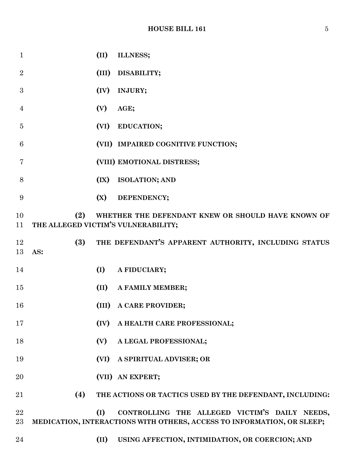## **HOUSE BILL 161** 5

| $\mathbf{1}$   |                                            | (II)  | ILLNESS;                                                                                                                |
|----------------|--------------------------------------------|-------|-------------------------------------------------------------------------------------------------------------------------|
| $\overline{2}$ |                                            |       | (III) DISABILITY;                                                                                                       |
| 3              |                                            | (IV)  | INJURY;                                                                                                                 |
| $\overline{4}$ |                                            | (V)   | AGE;                                                                                                                    |
| $\overline{5}$ |                                            | (VI)  | EDUCATION;                                                                                                              |
| 6              |                                            |       | (VII) IMPAIRED COGNITIVE FUNCTION;                                                                                      |
| 7              |                                            |       | (VIII) EMOTIONAL DISTRESS;                                                                                              |
| 8              |                                            | (IX)  | <b>ISOLATION; AND</b>                                                                                                   |
| 9              |                                            | (X)   | DEPENDENCY;                                                                                                             |
| 10<br>11       | (2)<br>THE ALLEGED VICTIM'S VULNERABILITY; |       | WHETHER THE DEFENDANT KNEW OR SHOULD HAVE KNOWN OF                                                                      |
| 12<br>13       | (3)<br>AS:                                 |       | THE DEFENDANT'S APPARENT AUTHORITY, INCLUDING STATUS                                                                    |
| 14             |                                            | (I)   | A FIDUCIARY;                                                                                                            |
| 15             |                                            | (II)  | A FAMILY MEMBER;                                                                                                        |
| 16             |                                            | (III) | A CARE PROVIDER;                                                                                                        |
| 17             |                                            | (IV)  | A HEALTH CARE PROFESSIONAL;                                                                                             |
| 18             |                                            | (V)   | A LEGAL PROFESSIONAL;                                                                                                   |
| 19             |                                            | (VI)  | A SPIRITUAL ADVISER; OR                                                                                                 |
| 20             |                                            |       | (VII) AN EXPERT;                                                                                                        |
| 21             | (4)                                        |       | THE ACTIONS OR TACTICS USED BY THE DEFENDANT, INCLUDING:                                                                |
| 22<br>$23\,$   |                                            | (I)   | CONTROLLING THE ALLEGED VICTIM'S DAILY NEEDS,<br>MEDICATION, INTERACTIONS WITH OTHERS, ACCESS TO INFORMATION, OR SLEEP; |
| 24             |                                            | (II)  | USING AFFECTION, INTIMIDATION, OR COERCION; AND                                                                         |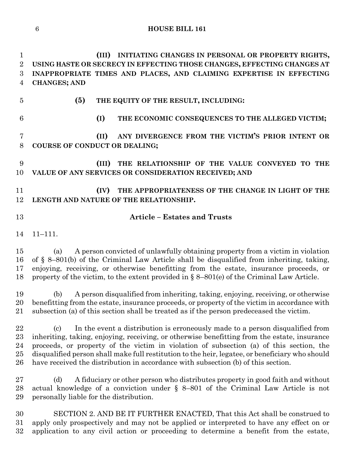**(III) INITIATING CHANGES IN PERSONAL OR PROPERTY RIGHTS, USING HASTE OR SECRECY IN EFFECTING THOSE CHANGES, EFFECTING CHANGES AT INAPPROPRIATE TIMES AND PLACES, AND CLAIMING EXPERTISE IN EFFECTING CHANGES; AND (5) THE EQUITY OF THE RESULT, INCLUDING: (I) THE ECONOMIC CONSEQUENCES TO THE ALLEGED VICTIM; (II) ANY DIVERGENCE FROM THE VICTIM'S PRIOR INTENT OR COURSE OF CONDUCT OR DEALING; (III) THE RELATIONSHIP OF THE VALUE CONVEYED TO THE VALUE OF ANY SERVICES OR CONSIDERATION RECEIVED; AND (IV) THE APPROPRIATENESS OF THE CHANGE IN LIGHT OF THE LENGTH AND NATURE OF THE RELATIONSHIP. Article – Estates and Trusts** 11–111. (a) A person convicted of unlawfully obtaining property from a victim in violation of § 8–801(b) of the Criminal Law Article shall be disqualified from inheriting, taking, enjoying, receiving, or otherwise benefitting from the estate, insurance proceeds, or property of the victim, to the extent provided in § 8–801(e) of the Criminal Law Article. (b) A person disqualified from inheriting, taking, enjoying, receiving, or otherwise benefitting from the estate, insurance proceeds, or property of the victim in accordance with subsection (a) of this section shall be treated as if the person predeceased the victim. (c) In the event a distribution is erroneously made to a person disqualified from inheriting, taking, enjoying, receiving, or otherwise benefitting from the estate, insurance proceeds, or property of the victim in violation of subsection (a) of this section, the disqualified person shall make full restitution to the heir, legatee, or beneficiary who should have received the distribution in accordance with subsection (b) of this section. (d) A fiduciary or other person who distributes property in good faith and without actual knowledge of a conviction under § 8–801 of the Criminal Law Article is not personally liable for the distribution. SECTION 2. AND BE IT FURTHER ENACTED, That this Act shall be construed to apply only prospectively and may not be applied or interpreted to have any effect on or application to any civil action or proceeding to determine a benefit from the estate,